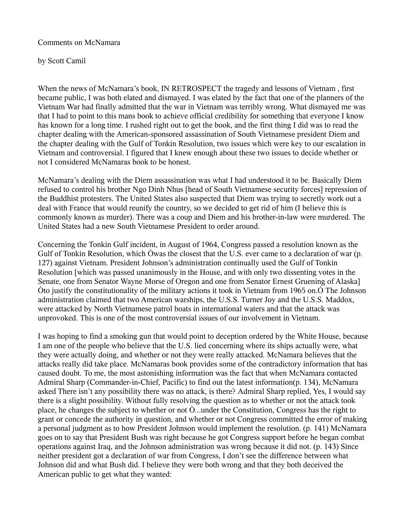## Comments on McNamara

## by Scott Camil

When the news of McNamara's book, IN RETROSPECT the tragedy and lessons of Vietnam , first became public, I was both elated and dismayed. I was elated by the fact that one of the planners of the Vietnam War had finally admitted that the war in Vietnam was terribly wrong. What dismayed me was that I had to point to this mans book to achieve official credibility for something that everyone I know has known for a long time. I rushed right out to get the book, and the first thing I did was to read the chapter dealing with the American-sponsored assassination of South Vietnamese president Diem and the chapter dealing with the Gulf of Tonkin Resolution, two issues which were key to our escalation in Vietnam and controversial. I figured that I knew enough about these two issues to decide whether or not I considered McNamaras book to be honest.

McNamara's dealing with the Diem assassination was what I had understood it to be. Basically Diem refused to control his brother Ngo Dinh Nhus [head of South Vietnamese security forces] repression of the Buddhist protesters. The United States also suspected that Diem was trying to secretly work out a deal with France that would reunify the country, so we decided to get rid of him (I believe this is commonly known as murder). There was a coup and Diem and his brother-in-law were murdered. The United States had a new South Vietnamese President to order around.

Concerning the Tonkin Gulf incident, in August of 1964, Congress passed a resolution known as the Gulf of Tonkin Resolution, which Òwas the closest that the U.S. ever came to a declaration of war (p. 127) against Vietnam. President Johnson's administration continually used the Gulf of Tonkin Resolution [which was passed unanimously in the House, and with only two dissenting votes in the Senate, one from Senator Wayne Morse of Oregon and one from Senator Ernest Gruening of Alaska] Òto justify the constitutionality of the military actions it took in Vietnam from 1965 on.Ó The Johnson administration claimed that two American warships, the U.S.S. Turner Joy and the U.S.S. Maddox, were attacked by North Vietnamese patrol boats in international waters and that the attack was unprovoked. This is one of the most controversial issues of our involvement in Vietnam.

I was hoping to find a smoking gun that would point to deception ordered by the White House, because I am one of the people who believe that the U.S. lied concerning where its ships actually were, what they were actually doing, and whether or not they were really attacked. McNamara believes that the attacks really did take place. McNamaras book provides some of the contradictory information that has caused doubt. To me, the most astonishing information was the fact that when McNamara contacted Admiral Sharp (Commander-in-Chief, Pacific) to find out the latest information(p. 134), McNamara asked There isn't any possibility there was no attack, is there? Admiral Sharp replied, Yes, I would say there is a slight possibility. Without fully resolving the question as to whether or not the attack took place, he changes the subject to whether or not Ò...under the Constitution, Congress has the right to grant or concede the authority in question, and whether or not Congress committed the error of making a personal judgment as to how President Johnson would implement the resolution. (p. 141) McNamara goes on to say that President Bush was right because he got Congress support before he began combat operations against Iraq, and the Johnson administration was wrong because it did not. (p. 143) Since neither president got a declaration of war from Congress, I don't see the difference between what Johnson did and what Bush did. I believe they were both wrong and that they both deceived the American public to get what they wanted: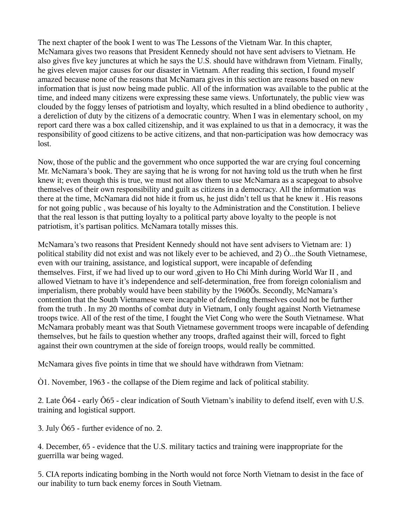The next chapter of the book I went to was The Lessons of the Vietnam War. In this chapter, McNamara gives two reasons that President Kennedy should not have sent advisers to Vietnam. He also gives five key junctures at which he says the U.S. should have withdrawn from Vietnam. Finally, he gives eleven major causes for our disaster in Vietnam. After reading this section, I found myself amazed because none of the reasons that McNamara gives in this section are reasons based on new information that is just now being made public. All of the information was available to the public at the time, and indeed many citizens were expressing these same views. Unfortunately, the public view was clouded by the foggy lenses of patriotism and loyalty, which resulted in a blind obedience to authority , a dereliction of duty by the citizens of a democratic country. When I was in elementary school, on my report card there was a box called citizenship, and it was explained to us that in a democracy, it was the responsibility of good citizens to be active citizens, and that non-participation was how democracy was lost.

Now, those of the public and the government who once supported the war are crying foul concerning Mr. McNamara's book. They are saying that he is wrong for not having told us the truth when he first knew it; even though this is true, we must not allow them to use McNamara as a scapegoat to absolve themselves of their own responsibility and guilt as citizens in a democracy. All the information was there at the time, McNamara did not hide it from us, he just didn't tell us that he knew it . His reasons for not going public , was because of his loyalty to the Administration and the Constitution. I believe that the real lesson is that putting loyalty to a political party above loyalty to the people is not patriotism, it's partisan politics. McNamara totally misses this.

McNamara's two reasons that President Kennedy should not have sent advisers to Vietnam are: 1) political stability did not exist and was not likely ever to be achieved, and 2)  $\dot{O}$ ...the South Vietnamese, even with our training, assistance, and logistical support, were incapable of defending themselves. First, if we had lived up to our word ,given to Ho Chi Minh during World War II , and allowed Vietnam to have it's independence and self-determination, free from foreign colonialism and imperialism, there probably would have been stability by the 1960Õs. Secondly, McNamara's contention that the South Vietnamese were incapable of defending themselves could not be further from the truth . In my 20 months of combat duty in Vietnam, I only fought against North Vietnamese troops twice. All of the rest of the time, I fought the Viet Cong who were the South Vietnamese. What McNamara probably meant was that South Vietnamese government troops were incapable of defending themselves, but he fails to question whether any troops, drafted against their will, forced to fight against their own countrymen at the side of foreign troops, would really be committed.

McNamara gives five points in time that we should have withdrawn from Vietnam:

Ò1. November, 1963 - the collapse of the Diem regime and lack of political stability.

2. Late Ô64 - early Ô65 - clear indication of South Vietnam's inability to defend itself, even with U.S. training and logistical support.

3. July Ô65 - further evidence of no. 2.

4. December, 65 - evidence that the U.S. military tactics and training were inappropriate for the guerrilla war being waged.

5. CIA reports indicating bombing in the North would not force North Vietnam to desist in the face of our inability to turn back enemy forces in South Vietnam.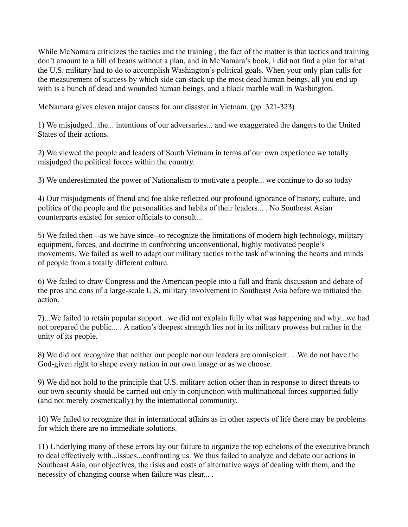While McNamara criticizes the tactics and the training , the fact of the matter is that tactics and training don't amount to a hill of beans without a plan, and in McNamara's book, I did not find a plan for what the U.S. military had to do to accomplish Washington's political goals. When your only plan calls for the measurement of success by which side can stack up the most dead human beings, all you end up with is a bunch of dead and wounded human beings, and a black marble wall in Washington.

McNamara gives eleven major causes for our disaster in Vietnam. (pp. 321-323)

1) We misjudged...the... intentions of our adversaries... and we exaggerated the dangers to the United States of their actions.

2) We viewed the people and leaders of South Vietnam in terms of our own experience we totally misjudged the political forces within the country.

3) We underestimated the power of Nationalism to motivate a people... we continue to do so today

4) Our misjudgments of friend and foe alike reflected our profound ignorance of history, culture, and politics of the people and the personalities and habits of their leaders... . No Southeast Asian counterparts existed for senior officials to consult...

5) We failed then --as we have since--to recognize the limitations of modern high technology, military equipment, forces, and doctrine in confronting unconventional, highly motivated people's movements. We failed as well to adapt our military tactics to the task of winning the hearts and minds of people from a totally different culture.

6) We failed to draw Congress and the American people into a full and frank discussion and debate of the pros and cons of a large-scale U.S. military involvement in Southeast Asia before we initiated the action.

7)...We failed to retain popular support...we did not explain fully what was happening and why...we had not prepared the public... . A nation's deepest strength lies not in its military prowess but rather in the unity of its people.

8) We did not recognize that neither our people nor our leaders are omniscient. ...We do not have the God-given right to shape every nation in our own image or as we choose.

9) We did not hold to the principle that U.S. military action other than in response to direct threats to our own security should be carried out only in conjunction with multinational forces supported fully (and not merely cosmetically) by the international community.

10) We failed to recognize that in international affairs as in other aspects of life there may be problems for which there are no immediate solutions.

11) Underlying many of these errors lay our failure to organize the top echelons of the executive branch to deal effectively with...issues...confronting us. We thus failed to analyze and debate our actions in Southeast Asia, our objectives, the risks and costs of alternative ways of dealing with them, and the necessity of changing course when failure was clear... .